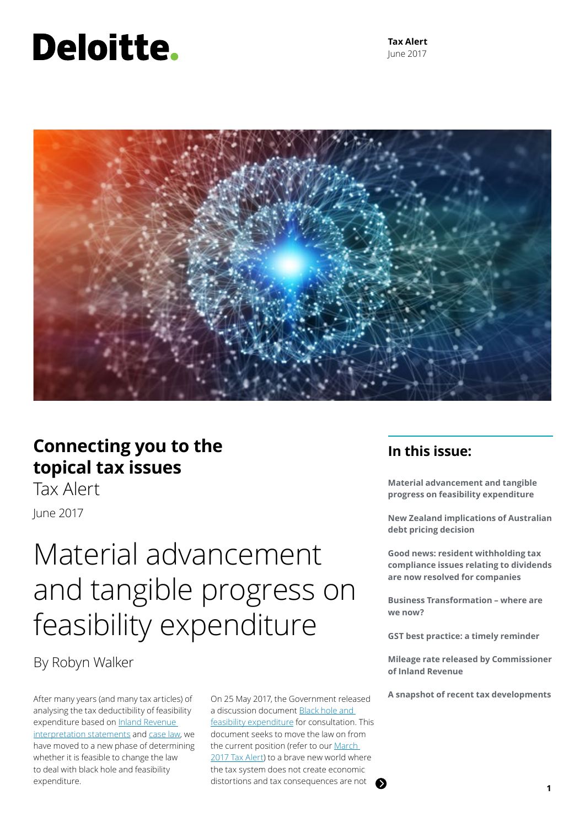# Deloitte.

**Tax Alert** June 2017



### **Connecting you to the topical tax issues**

Tax AlertJune 2017

## Material advancement and tangible progress on feasibility expenditure

### By Robyn Walker

After many years (and many tax articles) of analysing the tax deductibility of feasibility expenditure based on Inland Revenue [interpretation statements](http://www.ird.govt.nz/resources/5/9/59a7819f-ec1b-4db2-a54b-3ee1caff2e00/IS+1701.pdf) and [case law](https://www2.deloitte.com/content/dam/Deloitte/nz/Documents/tax/Tax-alert/2016/nz-en-tax-alert-august-2016.pdf), we have moved to a new phase of determining whether it is feasible to change the law to deal with black hole and feasibility expenditure.

On 25 May 2017, the Government released a discussion document [Black hole and](http://taxpolicy.ird.govt.nz/sites/default/files/2017-dd-black-hole-feasibility.pdf)  [feasibility expenditure](http://taxpolicy.ird.govt.nz/sites/default/files/2017-dd-black-hole-feasibility.pdf) for consultation. This document seeks to move the law on from the current position (refer to our March [2017 Tax Alert](https://www2.deloitte.com/nz/en/pages/tax-alerts/articles/feasibility-expenditure-how-the-law-applies.html)) to a brave new world where the tax system does not create economic distortions and tax consequences are not

### **In this issue:**

**Material advancement and tangible progress on feasibility expenditure** 

**New Zealand implications of Australian debt pricing decision** 

**Good news: resident withholding tax compliance issues relating to dividends are now resolved for companies** 

**Business Transformation – where are we now?** 

**GST best practice: a timely reminder**

**Mileage rate released by Commissioner of Inland Revenue**

**A snapshot of recent tax developments**

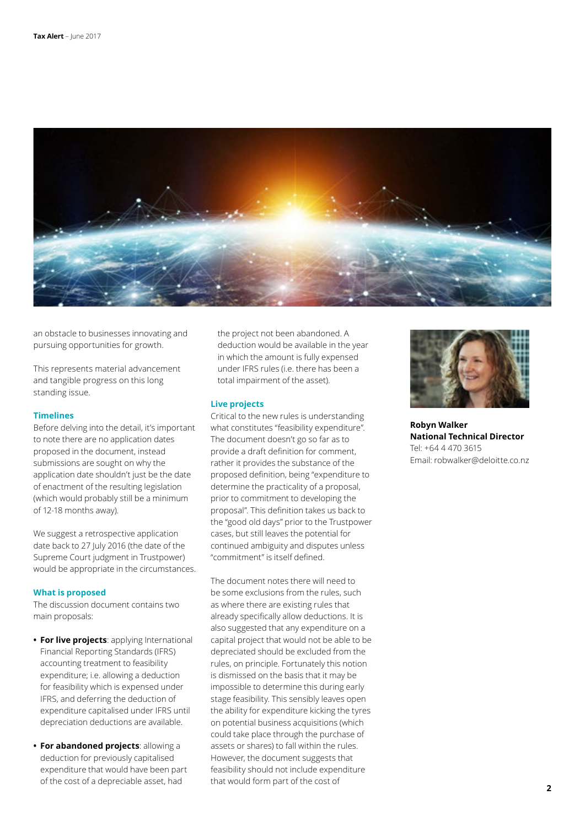

an obstacle to businesses innovating and pursuing opportunities for growth.

This represents material advancement and tangible progress on this long standing issue.

### **Timelines**

Before delving into the detail, it's important to note there are no application dates proposed in the document, instead submissions are sought on why the application date shouldn't just be the date of enactment of the resulting legislation (which would probably still be a minimum of 12-18 months away).

We suggest a retrospective application date back to 27 July 2016 (the date of the Supreme Court judgment in Trustpower) would be appropriate in the circumstances.

#### **What is proposed**

The discussion document contains two main proposals:

- **• For live projects**: applying International Financial Reporting Standards (IFRS) accounting treatment to feasibility expenditure; i.e. allowing a deduction for feasibility which is expensed under IFRS, and deferring the deduction of expenditure capitalised under IFRS until depreciation deductions are available.
- **• For abandoned projects**: allowing a deduction for previously capitalised expenditure that would have been part of the cost of a depreciable asset, had

the project not been abandoned. A deduction would be available in the year in which the amount is fully expensed under IFRS rules (i.e. there has been a total impairment of the asset).

### **Live projects**

Critical to the new rules is understanding what constitutes "feasibility expenditure". The document doesn't go so far as to provide a draft definition for comment, rather it provides the substance of the proposed definition, being "expenditure to determine the practicality of a proposal, prior to commitment to developing the proposal". This definition takes us back to the "good old days" prior to the Trustpower cases, but still leaves the potential for continued ambiguity and disputes unless "commitment" is itself defined.

The document notes there will need to be some exclusions from the rules, such as where there are existing rules that already specifically allow deductions. It is also suggested that any expenditure on a capital project that would not be able to be depreciated should be excluded from the rules, on principle. Fortunately this notion is dismissed on the basis that it may be impossible to determine this during early stage feasibility. This sensibly leaves open the ability for expenditure kicking the tyres on potential business acquisitions (which could take place through the purchase of assets or shares) to fall within the rules. However, the document suggests that feasibility should not include expenditure that would form part of the cost of



**Robyn Walker National Technical Director** Tel: +64 4 470 3615 Email: robwalker@deloitte.co.nz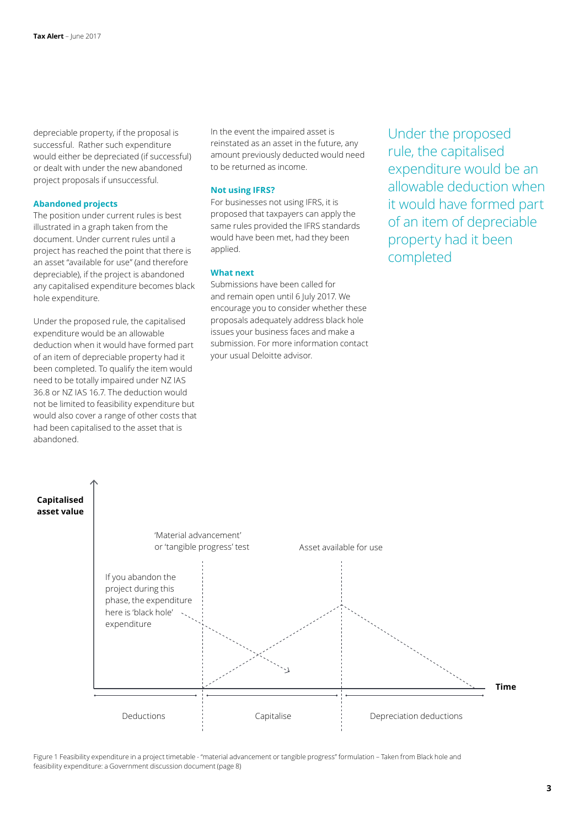depreciable property, if the proposal is successful. Rather such expenditure would either be depreciated (if successful) or dealt with under the new abandoned project proposals if unsuccessful.

#### **Abandoned projects**

The position under current rules is best illustrated in a graph taken from the document. Under current rules until a project has reached the point that there is an asset "available for use" (and therefore depreciable), if the project is abandoned any capitalised expenditure becomes black hole expenditure.

Under the proposed rule, the capitalised expenditure would be an allowable deduction when it would have formed part of an item of depreciable property had it been completed. To qualify the item would need to be totally impaired under NZ IAS 36.8 or NZ IAS 16.7. The deduction would not be limited to feasibility expenditure but would also cover a range of other costs that had been capitalised to the asset that is abandoned.

In the event the impaired asset is reinstated as an asset in the future, any amount previously deducted would need to be returned as income.

### **Not using IFRS?**

For businesses not using IFRS, it is proposed that taxpayers can apply the same rules provided the IFRS standards would have been met, had they been applied.

### **What next**

Submissions have been called for and remain open until 6 July 2017. We encourage you to consider whether these proposals adequately address black hole issues your business faces and make a submission. For more information contact your usual Deloitte advisor.

Under the proposed rule, the capitalised expenditure would be an allowable deduction when it would have formed part of an item of depreciable property had it been completed



Figure 1 Feasibility expenditure in a project timetable - "material advancement or tangible progress" formulation – Taken from Black hole and feasibility expenditure: a Government discussion document (page 8)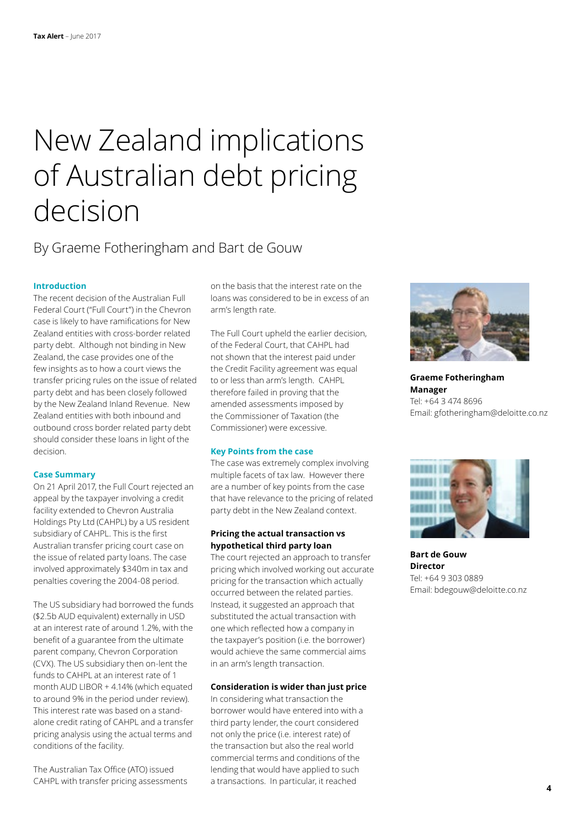## New Zealand implications of Australian debt pricing decision

### By Graeme Fotheringham and Bart de Gouw

### **Introduction**

The recent decision of the Australian Full Federal Court ("Full Court") in the Chevron case is likely to have ramifications for New Zealand entities with cross-border related party debt. Although not binding in New Zealand, the case provides one of the few insights as to how a court views the transfer pricing rules on the issue of related party debt and has been closely followed by the New Zealand Inland Revenue. New Zealand entities with both inbound and outbound cross border related party debt should consider these loans in light of the decision.

### **Case Summary**

On 21 April 2017, the Full Court rejected an appeal by the taxpayer involving a credit facility extended to Chevron Australia Holdings Pty Ltd (CAHPL) by a US resident subsidiary of CAHPL. This is the first Australian transfer pricing court case on the issue of related party loans. The case involved approximately \$340m in tax and penalties covering the 2004-08 period.

The US subsidiary had borrowed the funds (\$2.5b AUD equivalent) externally in USD at an interest rate of around 1.2%, with the benefit of a guarantee from the ultimate parent company, Chevron Corporation (CVX). The US subsidiary then on-lent the funds to CAHPL at an interest rate of 1 month AUD LIBOR + 4.14% (which equated to around 9% in the period under review). This interest rate was based on a standalone credit rating of CAHPL and a transfer pricing analysis using the actual terms and conditions of the facility.

The Australian Tax Office (ATO) issued CAHPL with transfer pricing assessments on the basis that the interest rate on the loans was considered to be in excess of an arm's length rate.

The Full Court upheld the earlier decision, of the Federal Court, that CAHPL had not shown that the interest paid under the Credit Facility agreement was equal to or less than arm's length. CAHPL therefore failed in proving that the amended assessments imposed by the Commissioner of Taxation (the Commissioner) were excessive.

#### **Key Points from the case**

The case was extremely complex involving multiple facets of tax law. However there are a number of key points from the case that have relevance to the pricing of related party debt in the New Zealand context.

### **Pricing the actual transaction vs hypothetical third party loan**

The court rejected an approach to transfer pricing which involved working out accurate pricing for the transaction which actually occurred between the related parties. Instead, it suggested an approach that substituted the actual transaction with one which reflected how a company in the taxpayer's position (i.e. the borrower) would achieve the same commercial aims in an arm's length transaction.

### **Consideration is wider than just price**

In considering what transaction the borrower would have entered into with a third party lender, the court considered not only the price (i.e. interest rate) of the transaction but also the real world commercial terms and conditions of the lending that would have applied to such a transactions. In particular, it reached



**Graeme Fotheringham Manager** Tel: +64 3 474 8696 Email: gfotheringham@deloitte.co.nz



**Bart de Gouw Director** Tel: +64 9 303 0889 Email: bdegouw@deloitte.co.nz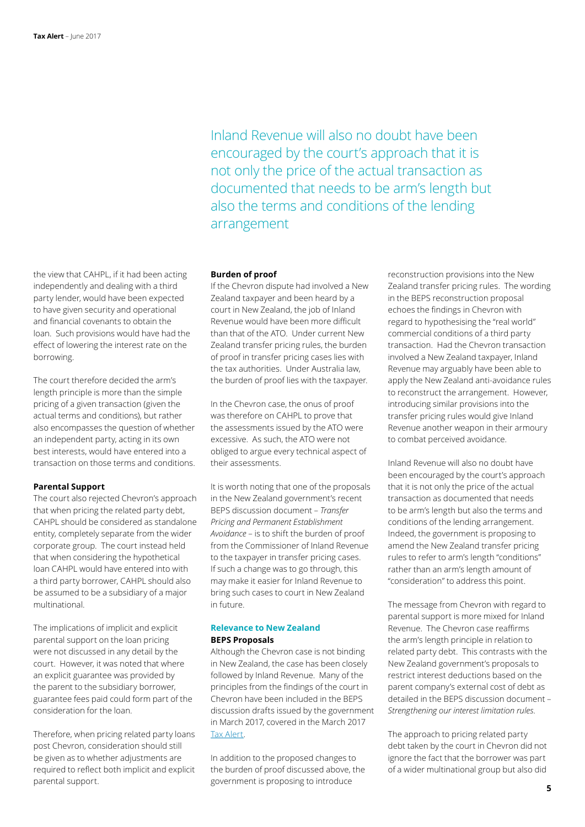the view that CAHPL, if it had been acting independently and dealing with a third party lender, would have been expected to have given security and operational and financial covenants to obtain the loan. Such provisions would have had the effect of lowering the interest rate on the borrowing.

The court therefore decided the arm's length principle is more than the simple pricing of a given transaction (given the actual terms and conditions), but rather also encompasses the question of whether an independent party, acting in its own best interests, would have entered into a transaction on those terms and conditions.

### **Parental Support**

The court also rejected Chevron's approach that when pricing the related party debt, CAHPL should be considered as standalone entity, completely separate from the wider corporate group. The court instead held that when considering the hypothetical loan CAHPL would have entered into with a third party borrower, CAHPL should also be assumed to be a subsidiary of a major multinational.

The implications of implicit and explicit parental support on the loan pricing were not discussed in any detail by the court. However, it was noted that where an explicit guarantee was provided by the parent to the subsidiary borrower, guarantee fees paid could form part of the consideration for the loan.

Therefore, when pricing related party loans post Chevron, consideration should still be given as to whether adjustments are required to reflect both implicit and explicit parental support.

Inland Revenue will also no doubt have been encouraged by the court's approach that it is not only the price of the actual transaction as documented that needs to be arm's length but also the terms and conditions of the lending arrangement

### **Burden of proof**

If the Chevron dispute had involved a New Zealand taxpayer and been heard by a court in New Zealand, the job of Inland Revenue would have been more difficult than that of the ATO. Under current New Zealand transfer pricing rules, the burden of proof in transfer pricing cases lies with the tax authorities. Under Australia law, the burden of proof lies with the taxpayer.

In the Chevron case, the onus of proof was therefore on CAHPL to prove that the assessments issued by the ATO were excessive. As such, the ATO were not obliged to argue every technical aspect of their assessments.

It is worth noting that one of the proposals in the New Zealand government's recent BEPS discussion document – *Transfer Pricing and Permanent Establishment Avoidance* – is to shift the burden of proof from the Commissioner of Inland Revenue to the taxpayer in transfer pricing cases. If such a change was to go through, this may make it easier for Inland Revenue to bring such cases to court in New Zealand in future.

### **Relevance to New Zealand BEPS Proposals**

Although the Chevron case is not binding in New Zealand, the case has been closely followed by Inland Revenue. Many of the principles from the findings of the court in Chevron have been included in the BEPS discussion drafts issued by the government in March 2017, covered in the March 2017 [Tax Alert.](https://www2.deloitte.com/nz/en/pages/tax-alerts/articles/a-trifecta-of-beps-reforms.html)

In addition to the proposed changes to the burden of proof discussed above, the government is proposing to introduce

reconstruction provisions into the New Zealand transfer pricing rules. The wording in the BEPS reconstruction proposal echoes the findings in Chevron with regard to hypothesising the "real world" commercial conditions of a third party transaction. Had the Chevron transaction involved a New Zealand taxpayer, Inland Revenue may arguably have been able to apply the New Zealand anti-avoidance rules to reconstruct the arrangement. However, introducing similar provisions into the transfer pricing rules would give Inland Revenue another weapon in their armoury to combat perceived avoidance.

Inland Revenue will also no doubt have been encouraged by the court's approach that it is not only the price of the actual transaction as documented that needs to be arm's length but also the terms and conditions of the lending arrangement. Indeed, the government is proposing to amend the New Zealand transfer pricing rules to refer to arm's length "conditions" rather than an arm's length amount of "consideration" to address this point.

The message from Chevron with regard to parental support is more mixed for Inland Revenue. The Chevron case reaffirms the arm's length principle in relation to related party debt. This contrasts with the New Zealand government's proposals to restrict interest deductions based on the parent company's external cost of debt as detailed in the BEPS discussion document – *Strengthening our interest limitation rules*.

The approach to pricing related party debt taken by the court in Chevron did not ignore the fact that the borrower was part of a wider multinational group but also did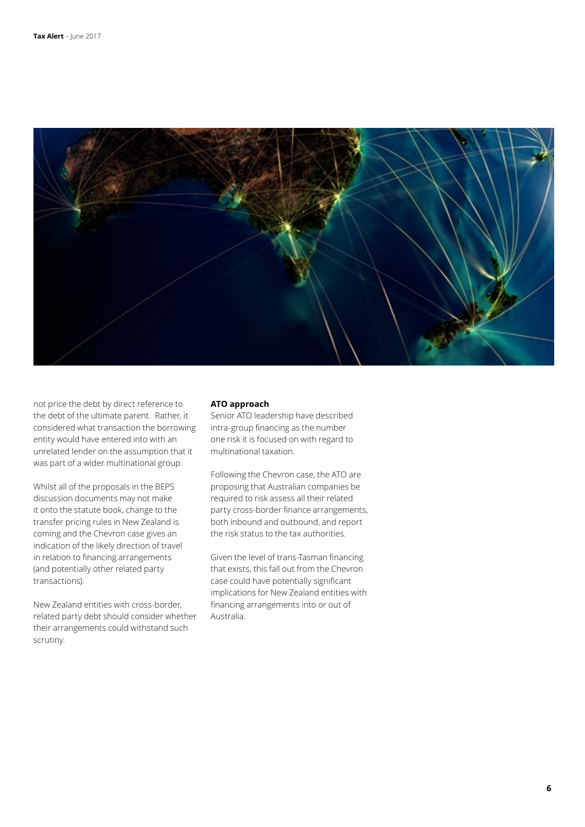

not price the debt by direct reference to the debt of the ultimate parent. Rather, it considered what transaction the borrowing entity would have entered into with an unrelated lender on the assumption that it was part of a wider multinational group.

Whilst all of the proposals in the BEPS discussion documents may not make it onto the statute book, change to the transfer pricing rules in New Zealand is coming and the Chevron case gives an indication of the likely direction of travel in relation to financing arrangements (and potentially other related party transactions).

New Zealand entities with cross-border, related party debt should consider whether their arrangements could withstand such scrutiny.

### **ATO approach**

Senior ATO leadership have described intra-group financing as the number one risk it is focused on with regard to multinational taxation.

Following the Chevron case, the ATO are proposing that Australian companies be required to risk assess all their related party cross-border finance arrangements, both inbound and outbound, and report the risk status to the tax authorities.

Given the level of trans-Tasman financing that exists, this fall out from the Chevron case could have potentially significant implications for New Zealand entities with financing arrangements into or out of Australia.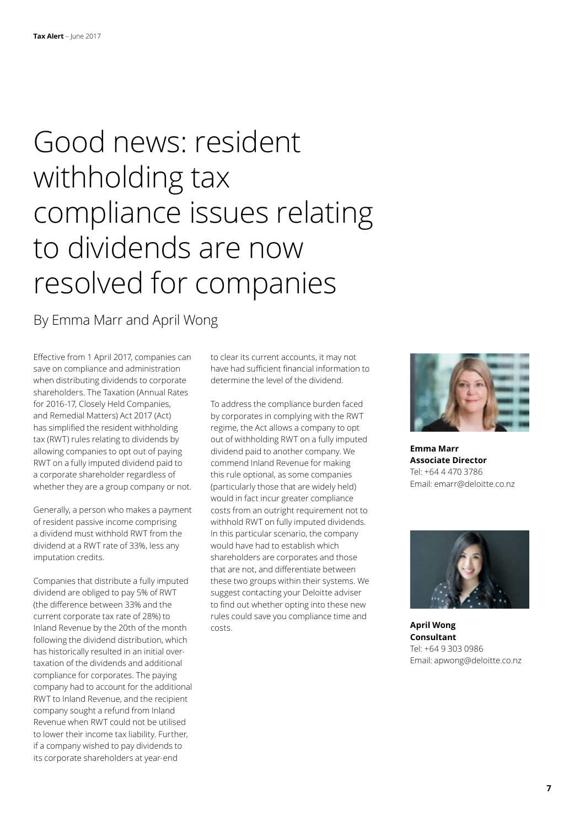## Good news: resident withholding tax compliance issues relating to dividends are now resolved for companies

### By Emma Marr and April Wong

Effective from 1 April 2017, companies can save on compliance and administration when distributing dividends to corporate shareholders. The Taxation (Annual Rates for 2016-17, Closely Held Companies, and Remedial Matters) Act 2017 (Act) has simplified the resident withholding tax (RWT) rules relating to dividends by allowing companies to opt out of paying RWT on a fully imputed dividend paid to a corporate shareholder regardless of whether they are a group company or not.

Generally, a person who makes a payment of resident passive income comprising a dividend must withhold RWT from the dividend at a RWT rate of 33%, less any imputation credits.

Companies that distribute a fully imputed dividend are obliged to pay 5% of RWT (the difference between 33% and the current corporate tax rate of 28%) to Inland Revenue by the 20th of the month following the dividend distribution, which has historically resulted in an initial overtaxation of the dividends and additional compliance for corporates. The paying company had to account for the additional RWT to Inland Revenue, and the recipient company sought a refund from Inland Revenue when RWT could not be utilised to lower their income tax liability. Further, if a company wished to pay dividends to its corporate shareholders at year-end

to clear its current accounts, it may not have had sufficient financial information to determine the level of the dividend.

To address the compliance burden faced by corporates in complying with the RWT regime, the Act allows a company to opt out of withholding RWT on a fully imputed dividend paid to another company. We commend Inland Revenue for making this rule optional, as some companies (particularly those that are widely held) would in fact incur greater compliance costs from an outright requirement not to withhold RWT on fully imputed dividends. In this particular scenario, the company would have had to establish which shareholders are corporates and those that are not, and differentiate between these two groups within their systems. We suggest contacting your Deloitte adviser to find out whether opting into these new rules could save you compliance time and costs.



**Emma Marr Associate Director** Tel: +64 4 470 3786 Email: emarr@deloitte.co.nz



**April Wong Consultant** Tel: +64 9 303 0986 Email: apwong@deloitte.co.nz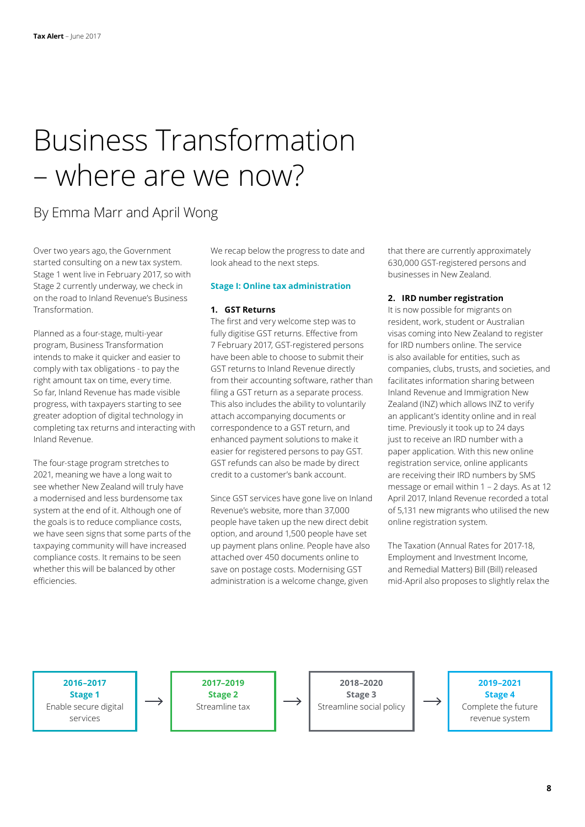## Business Transformation – where are we now?

### By Emma Marr and April Wong

Over two years ago, the Government started consulting on a new tax system. Stage 1 went live in February 2017, so with Stage 2 currently underway, we check in on the road to Inland Revenue's Business Transformation.

Planned as a four-stage, multi-year program, Business Transformation intends to make it quicker and easier to comply with tax obligations - to pay the right amount tax on time, every time. So far, Inland Revenue has made visible progress, with taxpayers starting to see greater adoption of digital technology in completing tax returns and interacting with Inland Revenue.

The four-stage program stretches to 2021, meaning we have a long wait to see whether New Zealand will truly have a modernised and less burdensome tax system at the end of it. Although one of the goals is to reduce compliance costs, we have seen signs that some parts of the taxpaying community will have increased compliance costs. It remains to be seen whether this will be balanced by other efficiencies.

We recap below the progress to date and look ahead to the next steps.

### **Stage I: Online tax administration**

### **1. GST Returns**

The first and very welcome step was to fully digitise GST returns. Effective from 7 February 2017, GST-registered persons have been able to choose to submit their GST returns to Inland Revenue directly from their accounting software, rather than filing a GST return as a separate process. This also includes the ability to voluntarily attach accompanying documents or correspondence to a GST return, and enhanced payment solutions to make it easier for registered persons to pay GST. GST refunds can also be made by direct credit to a customer's bank account.

Since GST services have gone live on Inland Revenue's website, more than 37,000 people have taken up the new direct debit option, and around 1,500 people have set up payment plans online. People have also attached over 450 documents online to save on postage costs. Modernising GST administration is a welcome change, given

that there are currently approximately 630,000 GST-registered persons and businesses in New Zealand.

### **2. IRD number registration**

It is now possible for migrants on resident, work, student or Australian visas coming into New Zealand to register for IRD numbers online. The service is also available for entities, such as companies, clubs, trusts, and societies, and facilitates information sharing between Inland Revenue and Immigration New Zealand (INZ) which allows INZ to verify an applicant's identity online and in real time. Previously it took up to 24 days just to receive an IRD number with a paper application. With this new online registration service, online applicants are receiving their IRD numbers by SMS message or email within 1 – 2 days. As at 12 April 2017, Inland Revenue recorded a total of 5,131 new migrants who utilised the new online registration system.

The Taxation (Annual Rates for 2017-18, Employment and Investment Income, and Remedial Matters) Bill (Bill) released mid-April also proposes to slightly relax the

**2016–2017 Stage 1** Enable secure digital services

**2017–2019 Stage 2** Streamline tax

**2018–2020 Stage 3** Streamline social policy

**2019–2021 Stage 4** Complete the future revenue system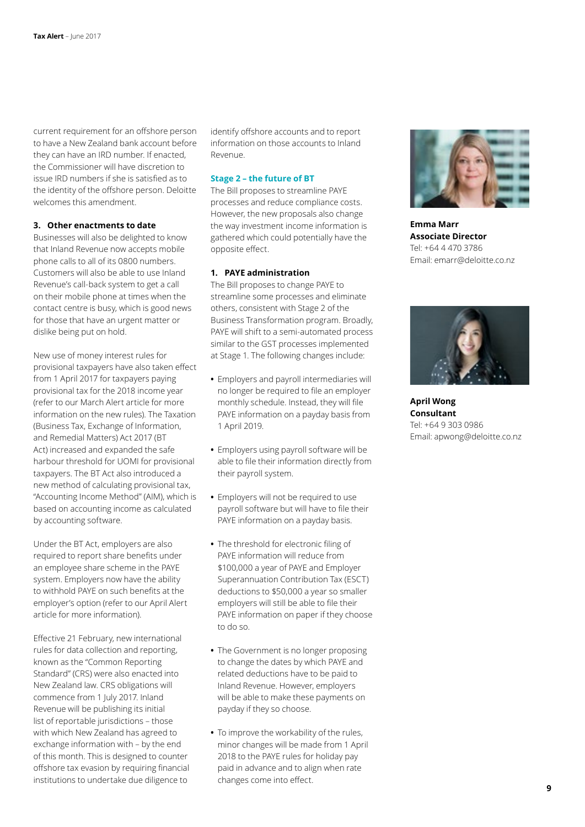current requirement for an offshore person to have a New Zealand bank account before they can have an IRD number. If enacted, the Commissioner will have discretion to issue IRD numbers if she is satisfied as to the identity of the offshore person. Deloitte welcomes this amendment.

### **3. Other enactments to date**

Businesses will also be delighted to know that Inland Revenue now accepts mobile phone calls to all of its 0800 numbers. Customers will also be able to use Inland Revenue's call-back system to get a call on their mobile phone at times when the contact centre is busy, which is good news for those that have an urgent matter or dislike being put on hold.

New use of money interest rules for provisional taxpayers have also taken effect from 1 April 2017 for taxpayers paying provisional tax for the 2018 income year (refer to our March Alert article for more information on the new rules). The Taxation (Business Tax, Exchange of Information, and Remedial Matters) Act 2017 (BT Act) increased and expanded the safe harbour threshold for UOMI for provisional taxpayers. The BT Act also introduced a new method of calculating provisional tax, "Accounting Income Method" (AIM), which is based on accounting income as calculated by accounting software.

Under the BT Act, employers are also required to report share benefits under an employee share scheme in the PAYE system. Employers now have the ability to withhold PAYE on such benefits at the employer's option (refer to our April Alert article for more information).

Effective 21 February, new international rules for data collection and reporting, known as the "Common Reporting Standard" (CRS) were also enacted into New Zealand law. CRS obligations will commence from 1 July 2017. Inland Revenue will be publishing its initial list of reportable jurisdictions – those with which New Zealand has agreed to exchange information with – by the end of this month. This is designed to counter offshore tax evasion by requiring financial institutions to undertake due diligence to

identify offshore accounts and to report information on those accounts to Inland Revenue.

### **Stage 2 – the future of BT**

The Bill proposes to streamline PAYE processes and reduce compliance costs. However, the new proposals also change the way investment income information is gathered which could potentially have the opposite effect.

### **1. PAYE administration**

The Bill proposes to change PAYE to streamline some processes and eliminate others, consistent with Stage 2 of the Business Transformation program. Broadly, PAYE will shift to a semi-automated process similar to the GST processes implemented at Stage 1. The following changes include:

- **•** Employers and payroll intermediaries will no longer be required to file an employer monthly schedule. Instead, they will file PAYE information on a payday basis from 1 April 2019.
- **•** Employers using payroll software will be able to file their information directly from their payroll system.
- **•** Employers will not be required to use payroll software but will have to file their PAYE information on a payday basis.
- **•** The threshold for electronic filing of PAYE information will reduce from \$100,000 a year of PAYE and Employer Superannuation Contribution Tax (ESCT) deductions to \$50,000 a year so smaller employers will still be able to file their PAYE information on paper if they choose to do so.
- **•** The Government is no longer proposing to change the dates by which PAYE and related deductions have to be paid to Inland Revenue. However, employers will be able to make these payments on payday if they so choose.
- **•** To improve the workability of the rules, minor changes will be made from 1 April 2018 to the PAYE rules for holiday pay paid in advance and to align when rate changes come into effect.



**Emma Marr Associate Director** Tel: +64 4 470 3786 Email: emarr@deloitte.co.nz



**April Wong Consultant** Tel: +64 9 303 0986 Email: apwong@deloitte.co.nz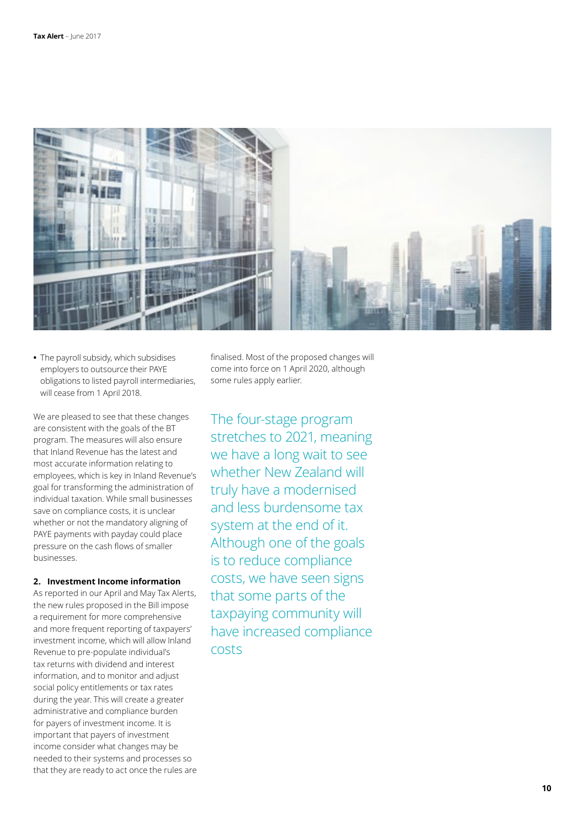

**•** The payroll subsidy, which subsidises employers to outsource their PAYE obligations to listed payroll intermediaries, will cease from 1 April 2018.

We are pleased to see that these changes are consistent with the goals of the BT program. The measures will also ensure that Inland Revenue has the latest and most accurate information relating to employees, which is key in Inland Revenue's goal for transforming the administration of individual taxation. While small businesses save on compliance costs, it is unclear whether or not the mandatory aligning of PAYE payments with payday could place pressure on the cash flows of smaller businesses.

### **2. Investment Income information**

As reported in our April and May Tax Alerts, the new rules proposed in the Bill impose a requirement for more comprehensive and more frequent reporting of taxpayers' investment income, which will allow Inland Revenue to pre-populate individual's tax returns with dividend and interest information, and to monitor and adjust social policy entitlements or tax rates during the year. This will create a greater administrative and compliance burden for payers of investment income. It is important that payers of investment income consider what changes may be needed to their systems and processes so that they are ready to act once the rules are finalised. Most of the proposed changes will come into force on 1 April 2020, although some rules apply earlier.

The four-stage program stretches to 2021, meaning we have a long wait to see whether New Zealand will truly have a modernised and less burdensome tax system at the end of it. Although one of the goals is to reduce compliance costs, we have seen signs that some parts of the taxpaying community will have increased compliance costs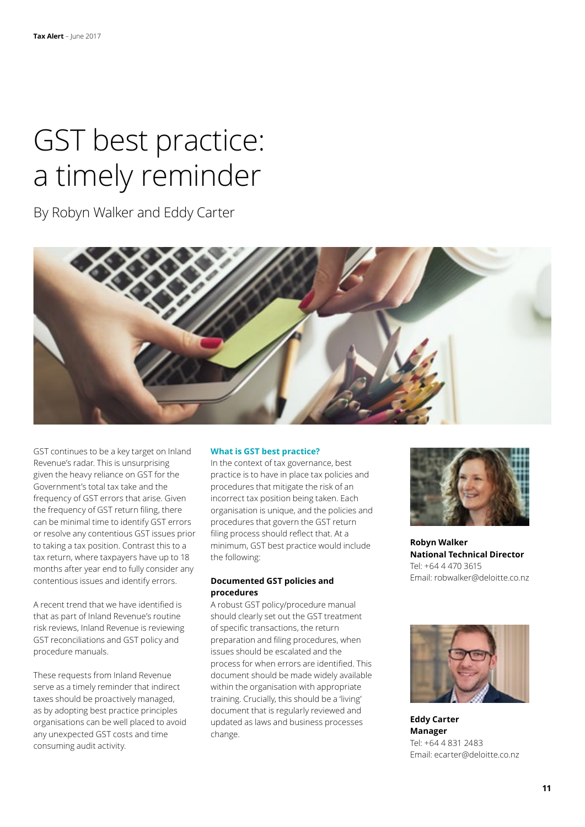## GST best practice: a timely reminder

By Robyn Walker and Eddy Carter



GST continues to be a key target on Inland Revenue's radar. This is unsurprising given the heavy reliance on GST for the Government's total tax take and the frequency of GST errors that arise. Given the frequency of GST return filing, there can be minimal time to identify GST errors or resolve any contentious GST issues prior to taking a tax position. Contrast this to a tax return, where taxpayers have up to 18 months after year end to fully consider any contentious issues and identify errors.

A recent trend that we have identified is that as part of Inland Revenue's routine risk reviews, Inland Revenue is reviewing GST reconciliations and GST policy and procedure manuals.

These requests from Inland Revenue serve as a timely reminder that indirect taxes should be proactively managed, as by adopting best practice principles organisations can be well placed to avoid any unexpected GST costs and time consuming audit activity.

### **What is GST best practice?**

In the context of tax governance, best practice is to have in place tax policies and procedures that mitigate the risk of an incorrect tax position being taken. Each organisation is unique, and the policies and procedures that govern the GST return filing process should reflect that. At a minimum, GST best practice would include the following:

### **Documented GST policies and procedures**

A robust GST policy/procedure manual should clearly set out the GST treatment of specific transactions, the return preparation and filing procedures, when issues should be escalated and the process for when errors are identified. This document should be made widely available within the organisation with appropriate training. Crucially, this should be a 'living' document that is regularly reviewed and updated as laws and business processes change.



**Robyn Walker National Technical Director** Tel: +64 4 470 3615 Email: robwalker@deloitte.co.nz



**Eddy Carter Manager** Tel: +64 4 831 2483 Email: ecarter@deloitte.co.nz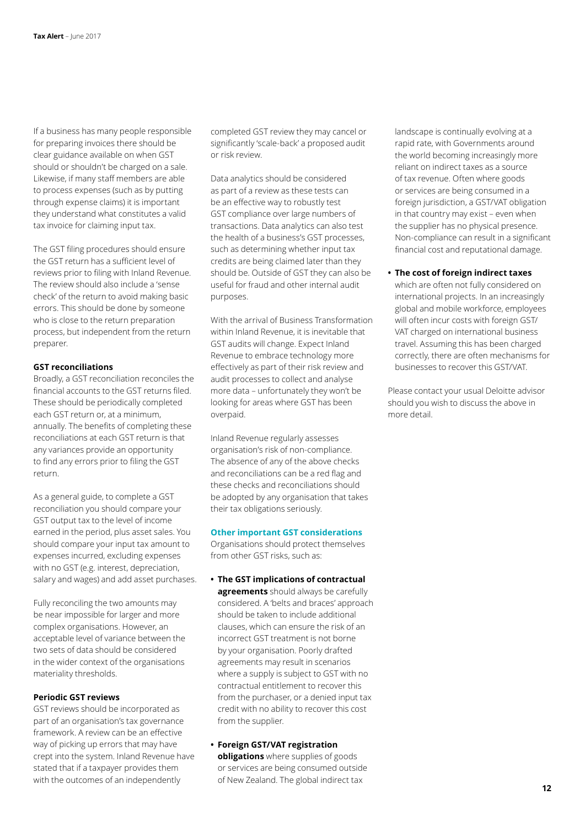If a business has many people responsible for preparing invoices there should be clear guidance available on when GST should or shouldn't be charged on a sale. Likewise, if many staff members are able to process expenses (such as by putting through expense claims) it is important they understand what constitutes a valid tax invoice for claiming input tax.

The GST filing procedures should ensure the GST return has a sufficient level of reviews prior to filing with Inland Revenue. The review should also include a 'sense check' of the return to avoid making basic errors. This should be done by someone who is close to the return preparation process, but independent from the return preparer.

### **GST reconciliations**

Broadly, a GST reconciliation reconciles the financial accounts to the GST returns filed. These should be periodically completed each GST return or, at a minimum, annually. The benefits of completing these reconciliations at each GST return is that any variances provide an opportunity to find any errors prior to filing the GST return.

As a general guide, to complete a GST reconciliation you should compare your GST output tax to the level of income earned in the period, plus asset sales. You should compare your input tax amount to expenses incurred, excluding expenses with no GST (e.g. interest, depreciation, salary and wages) and add asset purchases.

Fully reconciling the two amounts may be near impossible for larger and more complex organisations. However, an acceptable level of variance between the two sets of data should be considered in the wider context of the organisations materiality thresholds.

### **Periodic GST reviews**

GST reviews should be incorporated as part of an organisation's tax governance framework. A review can be an effective way of picking up errors that may have crept into the system. Inland Revenue have stated that if a taxpayer provides them with the outcomes of an independently

completed GST review they may cancel or significantly 'scale-back' a proposed audit or risk review.

Data analytics should be considered as part of a review as these tests can be an effective way to robustly test GST compliance over large numbers of transactions. Data analytics can also test the health of a business's GST processes, such as determining whether input tax credits are being claimed later than they should be. Outside of GST they can also be useful for fraud and other internal audit purposes.

With the arrival of Business Transformation within Inland Revenue, it is inevitable that GST audits will change. Expect Inland Revenue to embrace technology more effectively as part of their risk review and audit processes to collect and analyse more data – unfortunately they won't be looking for areas where GST has been overpaid.

Inland Revenue regularly assesses organisation's risk of non-compliance. The absence of any of the above checks and reconciliations can be a red flag and these checks and reconciliations should be adopted by any organisation that takes their tax obligations seriously.

### **Other important GST considerations**

Organisations should protect themselves from other GST risks, such as:

- **• The GST implications of contractual agreements** should always be carefully considered. A 'belts and braces' approach should be taken to include additional clauses, which can ensure the risk of an incorrect GST treatment is not borne by your organisation. Poorly drafted agreements may result in scenarios where a supply is subject to GST with no contractual entitlement to recover this from the purchaser, or a denied input tax credit with no ability to recover this cost from the supplier.
- **• Foreign GST/VAT registration obligations** where supplies of goods or services are being consumed outside of New Zealand. The global indirect tax

landscape is continually evolving at a rapid rate, with Governments around the world becoming increasingly more reliant on indirect taxes as a source of tax revenue. Often where goods or services are being consumed in a foreign jurisdiction, a GST/VAT obligation in that country may exist – even when the supplier has no physical presence. Non-compliance can result in a significant financial cost and reputational damage.

### **• The cost of foreign indirect taxes**

which are often not fully considered on international projects. In an increasingly global and mobile workforce, employees will often incur costs with foreign GST/ VAT charged on international business travel. Assuming this has been charged correctly, there are often mechanisms for businesses to recover this GST/VAT.

Please contact your usual Deloitte advisor should you wish to discuss the above in more detail.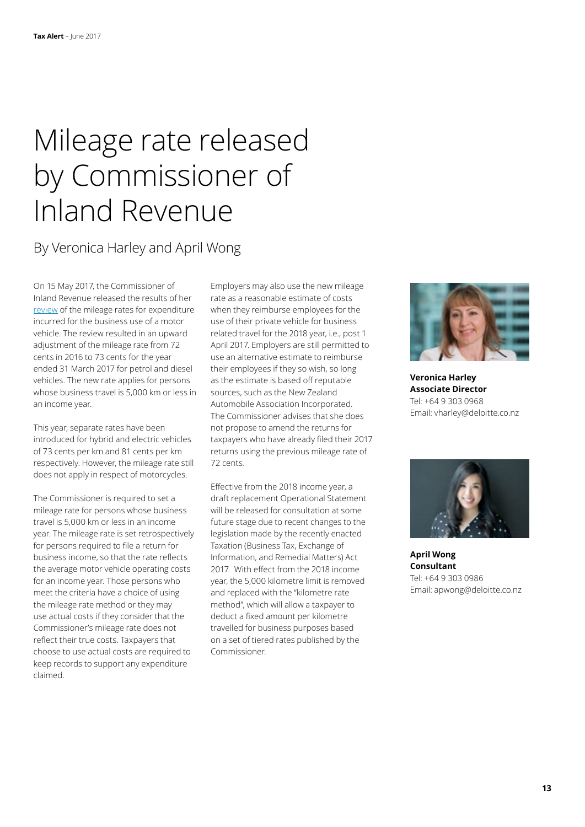## Mileage rate released by Commissioner of Inland Revenue

### By Veronica Harley and April Wong

On 15 May 2017, the Commissioner of Inland Revenue released the results of her [review](http://www.ird.govt.nz/technical-tax/op-statements/os-review-mileage-rate-2017.html) of the mileage rates for expenditure incurred for the business use of a motor vehicle. The review resulted in an upward adjustment of the mileage rate from 72 cents in 2016 to 73 cents for the year ended 31 March 2017 for petrol and diesel vehicles. The new rate applies for persons whose business travel is 5,000 km or less in an income year.

This year, separate rates have been introduced for hybrid and electric vehicles of 73 cents per km and 81 cents per km respectively. However, the mileage rate still does not apply in respect of motorcycles.

The Commissioner is required to set a mileage rate for persons whose business travel is 5,000 km or less in an income year. The mileage rate is set retrospectively for persons required to file a return for business income, so that the rate reflects the average motor vehicle operating costs for an income year. Those persons who meet the criteria have a choice of using the mileage rate method or they may use actual costs if they consider that the Commissioner's mileage rate does not reflect their true costs. Taxpayers that choose to use actual costs are required to keep records to support any expenditure claimed.

Employers may also use the new mileage rate as a reasonable estimate of costs when they reimburse employees for the use of their private vehicle for business related travel for the 2018 year, i.e., post 1 April 2017. Employers are still permitted to use an alternative estimate to reimburse their employees if they so wish, so long as the estimate is based off reputable sources, such as the New Zealand Automobile Association Incorporated. The Commissioner advises that she does not propose to amend the returns for taxpayers who have already filed their 2017 returns using the previous mileage rate of 72 cents.

Effective from the 2018 income year, a draft replacement Operational Statement will be released for consultation at some future stage due to recent changes to the legislation made by the recently enacted Taxation (Business Tax, Exchange of Information, and Remedial Matters) Act 2017. With effect from the 2018 income year, the 5,000 kilometre limit is removed and replaced with the "kilometre rate method", which will allow a taxpayer to deduct a fixed amount per kilometre travelled for business purposes based on a set of tiered rates published by the Commissioner.



**Veronica Harley Associate Director** Tel: +64 9 303 0968 Email: vharley@deloitte.co.nz



**April Wong Consultant** Tel: +64 9 303 0986 Email: apwong@deloitte.co.nz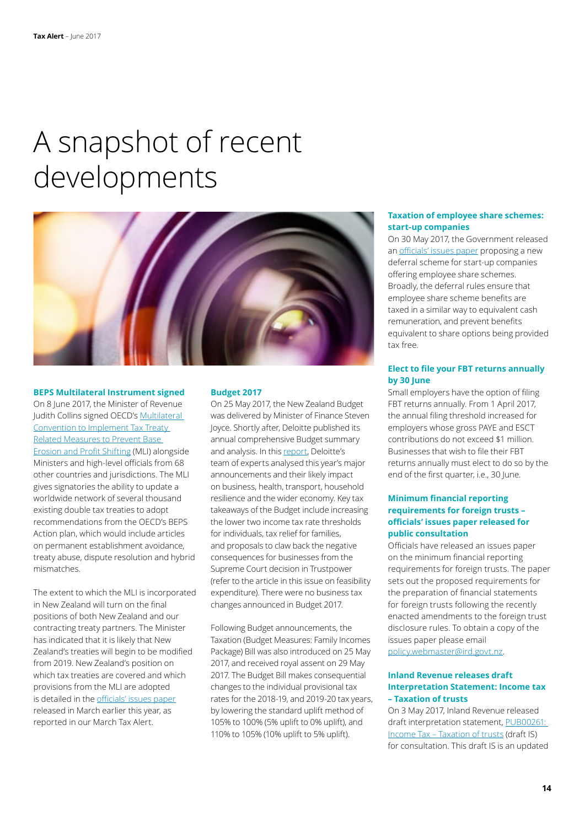## A snapshot of recent developments



#### **BEPS Multilateral Instrument signed**

On 8 June 2017, the Minister of Revenue Judith Collins signed OECD's [Multilateral](http://www.oecd.org/tax/treaties/multilateral-convention-to-implement-tax-treaty-related-measures-to-prevent-BEPS.pdf)  [Convention to Implement Tax Treaty](http://www.oecd.org/tax/treaties/multilateral-convention-to-implement-tax-treaty-related-measures-to-prevent-BEPS.pdf)  [Related Measures to Prevent Base](http://www.oecd.org/tax/treaties/multilateral-convention-to-implement-tax-treaty-related-measures-to-prevent-BEPS.pdf)  [Erosion and Profit Shifting](http://www.oecd.org/tax/treaties/multilateral-convention-to-implement-tax-treaty-related-measures-to-prevent-BEPS.pdf) (MLI) alongside Ministers and high-level officials from 68 other countries and jurisdictions. The MLI gives signatories the ability to update a worldwide network of several thousand existing double tax treaties to adopt recommendations from the OECD's BEPS Action plan, which would include articles on permanent establishment avoidance, treaty abuse, dispute resolution and hybrid mismatches.

The extent to which the MLI is incorporated in New Zealand will turn on the final positions of both New Zealand and our contracting treaty partners. The Minister has indicated that it is likely that New Zealand's treaties will begin to be modified from 2019. New Zealand's position on which tax treaties are covered and which provisions from the MLI are adopted is detailed in the [officials' issues paper](http://taxpolicy.ird.govt.nz/publications/2017-ip-beps-mli-nz/overview) released in March earlier this year, as reported in our March Tax Alert.

### **Budget 2017**

On 25 May 2017, the New Zealand Budget was delivered by Minister of Finance Steven Joyce. Shortly after, Deloitte published its annual comprehensive Budget summary and analysis. In this [report,](https://www2.deloitte.com/nz/en/pages/2017-government-budget/articles/2017-new-zealand-budget.html) Deloitte's team of experts analysed this year's major announcements and their likely impact on business, health, transport, household resilience and the wider economy. Key tax takeaways of the Budget include increasing the lower two income tax rate thresholds for individuals, tax relief for families, and proposals to claw back the negative consequences for businesses from the Supreme Court decision in Trustpower (refer to the article in this issue on feasibility expenditure). There were no business tax changes announced in Budget 2017.

Following Budget announcements, the Taxation (Budget Measures: Family Incomes Package) Bill was also introduced on 25 May 2017, and received royal assent on 29 May 2017. The Budget Bill makes consequential changes to the individual provisional tax rates for the 2018-19, and 2019-20 tax years, by lowering the standard uplift method of 105% to 100% (5% uplift to 0% uplift), and 110% to 105% (10% uplift to 5% uplift).

### **Taxation of employee share schemes: start-up companies**

On 30 May 2017, the Government released an [officials' issues paper](https://taxpolicy.ird.govt.nz/sites/default/files/2017-ip-ess-start-up.pdf) proposing a new deferral scheme for start-up companies offering employee share schemes. Broadly, the deferral rules ensure that employee share scheme benefits are taxed in a similar way to equivalent cash remuneration, and prevent benefits equivalent to share options being provided tax free.

### **Elect to file your FBT returns annually by 30 June**

Small employers have the option of filing FBT returns annually. From 1 April 2017, the annual filing threshold increased for employers whose gross PAYE and ESCT contributions do not exceed \$1 million. Businesses that wish to file their FBT returns annually must elect to do so by the end of the first quarter, i.e., 30 June.

### **Minimum financial reporting requirements for foreign trusts – officials' issues paper released for public consultation**

Officials have released an issues paper on the minimum financial reporting requirements for foreign trusts. The paper sets out the proposed requirements for the preparation of financial statements for foreign trusts following the recently enacted amendments to the foreign trust disclosure rules. To obtain a copy of the issues paper please email [policy.webmaster@ird.govt.nz.](mailto:policy.webmaster@ird.govt.nz)

### **Inland Revenue releases draft Interpretation Statement: Income tax – Taxation of trusts**

On 3 May 2017, Inland Revenue released draft interpretation statement, [PUB00261:](http://www.ird.govt.nz/resources/0/9/09ed8155-9c68-4cde-ad5c-1c2af0f81041/PUB00261.pdf)  [Income Tax – Taxation of trusts](http://www.ird.govt.nz/resources/0/9/09ed8155-9c68-4cde-ad5c-1c2af0f81041/PUB00261.pdf) (draft IS) for consultation. This draft IS is an updated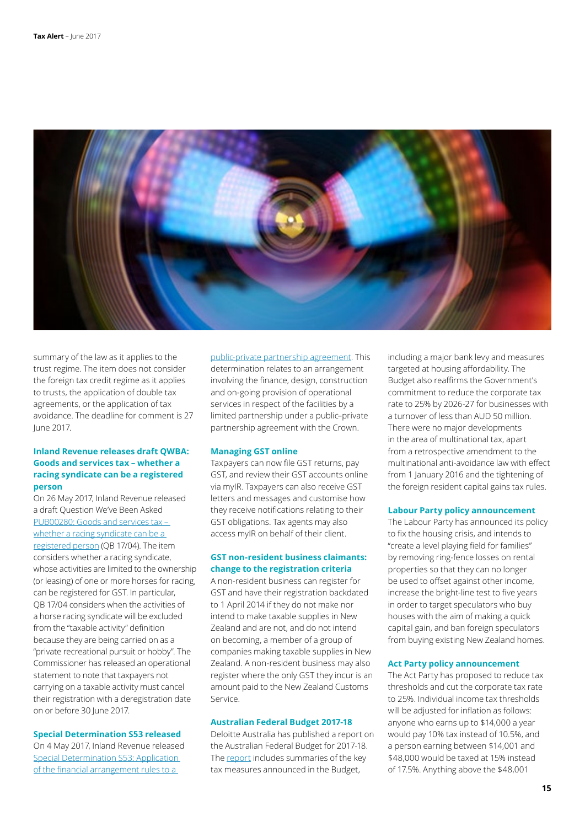

summary of the law as it applies to the trust regime. The item does not consider the foreign tax credit regime as it applies to trusts, the application of double tax agreements, or the application of tax avoidance. The deadline for comment is 27 June 2017.

### **Inland Revenue releases draft QWBA: Goods and services tax – whether a racing syndicate can be a registered person**

On 26 May 2017, Inland Revenue released a draft Question We've Been Asked [PUB00280: Goods and services tax –](http://www.ird.govt.nz/resources/1/1/11d59557-a9fd-412b-9b5f-2f6d17eeb8c6/QB17004.pdf)  whether a racing syndicate can be a [registered person](http://www.ird.govt.nz/resources/1/1/11d59557-a9fd-412b-9b5f-2f6d17eeb8c6/QB17004.pdf) (QB 17/04). The item considers whether a racing syndicate, whose activities are limited to the ownership (or leasing) of one or more horses for racing, can be registered for GST. In particular, QB 17/04 considers when the activities of a horse racing syndicate will be excluded from the "taxable activity" definition because they are being carried on as a "private recreational pursuit or hobby". The Commissioner has released an operational statement to note that taxpayers not carrying on a taxable activity must cancel their registration with a deregistration date on or before 30 June 2017.

### **Special Determination S53 released**

On 4 May 2017, Inland Revenue released [Special Determination S53: Application](http://www.ird.govt.nz/technical-tax/determinations/accrual/det-s53-app-of-financial-arrangments.html)  [of the financial arrangement rules to a](http://www.ird.govt.nz/technical-tax/determinations/accrual/det-s53-app-of-financial-arrangments.html) 

[public-private partnership agreement](http://www.ird.govt.nz/technical-tax/determinations/accrual/det-s53-app-of-financial-arrangments.html). This determination relates to an arrangement involving the finance, design, construction and on-going provision of operational services in respect of the facilities by a limited partnership under a public–private partnership agreement with the Crown.

#### **Managing GST online**

Taxpayers can now file GST returns, pay GST, and review their GST accounts online via myIR. Taxpayers can also receive GST letters and messages and customise how they receive notifications relating to their GST obligations. Tax agents may also access myIR on behalf of their client.

### **GST non-resident business claimants: change to the registration criteria**

A non-resident business can register for GST and have their registration backdated to 1 April 2014 if they do not make nor intend to make taxable supplies in New Zealand and are not, and do not intend on becoming, a member of a group of companies making taxable supplies in New Zealand. A non-resident business may also register where the only GST they incur is an amount paid to the New Zealand Customs Service.

### **Australian Federal Budget 2017-18**

Deloitte Australia has published a report on the Australian Federal Budget for 2017-18. The [report](https://www2.deloitte.com/au/en/pages/federal-budget/articles/federal-budget-2017-18.html) includes summaries of the key tax measures announced in the Budget,

including a major bank levy and measures targeted at housing affordability. The Budget also reaffirms the Government's commitment to reduce the corporate tax rate to 25% by 2026-27 for businesses with a turnover of less than AUD 50 million. There were no major developments in the area of multinational tax, apart from a retrospective amendment to the multinational anti-avoidance law with effect from 1 January 2016 and the tightening of the foreign resident capital gains tax rules.

### **Labour Party policy announcement**

The Labour Party has announced its policy to fix the housing crisis, and intends to "create a level playing field for families" by removing ring-fence losses on rental properties so that they can no longer be used to offset against other income, increase the bright-line test to five years in order to target speculators who buy houses with the aim of making a quick capital gain, and ban foreign speculators from buying existing New Zealand homes.

#### **Act Party policy announcement**

The Act Party has proposed to reduce tax thresholds and cut the corporate tax rate to 25%. Individual income tax thresholds will be adjusted for inflation as follows: anyone who earns up to \$14,000 a year would pay 10% tax instead of 10.5%, and a person earning between \$14,001 and \$48,000 would be taxed at 15% instead of 17.5%. Anything above the \$48,001